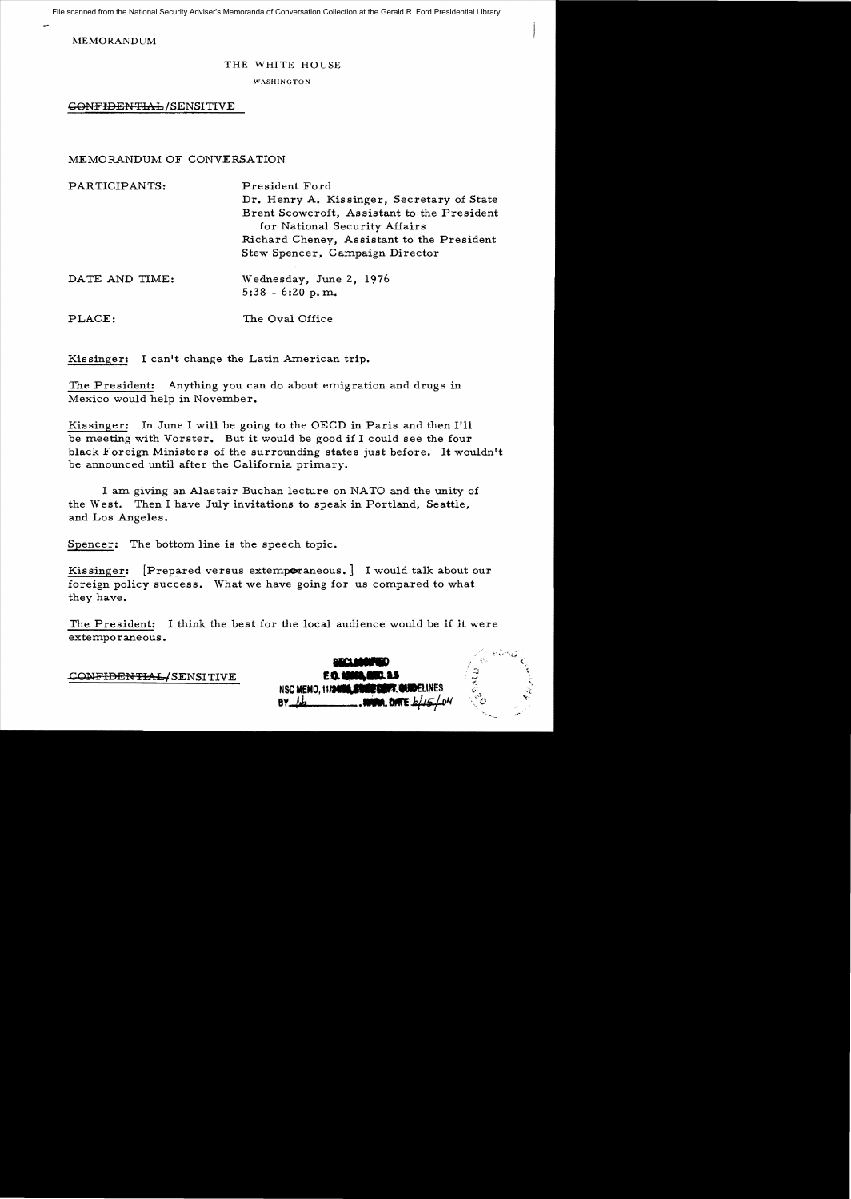File scanned from the National Security Adviser's Memoranda of Conversation Collection at the Gerald R. Ford Presidential Library

MEMORANDUM

## THE WHITE HOUSE

WASHINGTON

GONFIDENTIAL/SENSITIVE

## MEMORANDUM OF CONVERSATION

| PARTICIPANTS:  | President Ford<br>Dr. Henry A. Kissinger, Secretary of State<br>Brent Scowcroft, Assistant to the President<br>for National Security Affairs<br>Richard Cheney, Assistant to the President<br>Stew Spencer, Campaign Director |
|----------------|-------------------------------------------------------------------------------------------------------------------------------------------------------------------------------------------------------------------------------|
| DATE AND TIME: | Wednesday, June 2, 1976<br>$5:38 - 6:20 p.m.$                                                                                                                                                                                 |
| PLACE:         | The Oval Office                                                                                                                                                                                                               |

Kissinger: I can't change the Latin American trip.

The President: Anything you can do about emigration and drugs in Mexico would help in November.

Kissinger: In June I will be going to the OECD in Paris and then I'll be meeting with Vorster. But it would be good if I could see the four black Foreign Ministers of the surrounding states just before. It wouldn't be announced until after the California primary.

I am giving an Alastair Buchan lecture on NATO and the unity of the West. Then I have July invitations to speak in Portland, Seattle, and Los Angeles.

Spencer: The bottom line is the speech topic.

Kissinger: [Prepared versus extemperaneous.] I would talk about our foreign policy success. What we have going for us compared to what they have.

The President: I think the best for the local audience would be if it were extemporaneous.

CO<del>NFIDENTIAL/</del>SENSITIVE

|                                          | センフェン |  |
|------------------------------------------|-------|--|
| <u>WA ANGERIA D</u>                      |       |  |
| <b>E.O. 19994.08C. 3.5</b>               |       |  |
| NSC MEMO, 11/34/00 SOME DEPT. GUIDELINES |       |  |
| . NOWALL DATE $h/L5$ LOM<br>BY.          |       |  |
|                                          |       |  |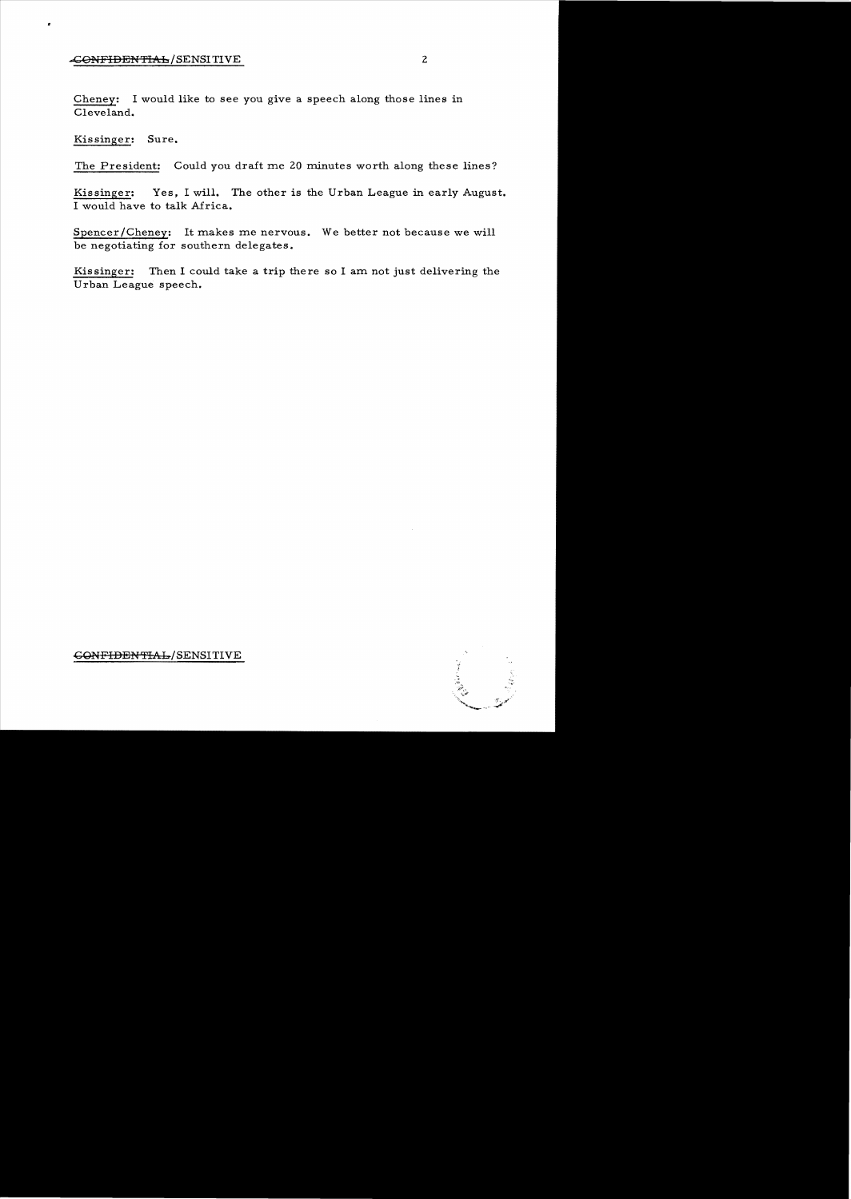## **CONFIDENTIAL/SENSITIVE** 2

Cheney: I would like to see you give a speech along those lines in Cleveland.

Kissinger: Sure.

The President: Could you draft me 20 minutes worth along these lines?

Kissinger: Yes, I will. The other is the Urban League in early August. I would have to talk Africa.

Spencer/Cheney: It makes me nervous. We better not because we will be negotiating for southern delegates.

Kissinger: Then I could take a trip there so I am not just delivering the Urban League speech.

## GQNFIDENTIAb/SENSITIVE